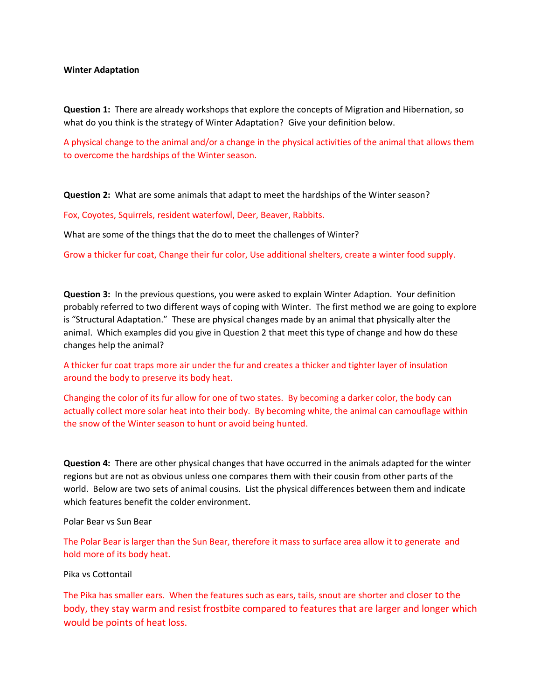## **Winter Adaptation**

**Question 1:** There are already workshops that explore the concepts of Migration and Hibernation, so what do you think is the strategy of Winter Adaptation? Give your definition below.

A physical change to the animal and/or a change in the physical activities of the animal that allows them to overcome the hardships of the Winter season.

**Question 2:** What are some animals that adapt to meet the hardships of the Winter season?

Fox, Coyotes, Squirrels, resident waterfowl, Deer, Beaver, Rabbits.

What are some of the things that the do to meet the challenges of Winter?

Grow a thicker fur coat, Change their fur color, Use additional shelters, create a winter food supply.

**Question 3:** In the previous questions, you were asked to explain Winter Adaption. Your definition probably referred to two different ways of coping with Winter. The first method we are going to explore is "Structural Adaptation." These are physical changes made by an animal that physically alter the animal. Which examples did you give in Question 2 that meet this type of change and how do these changes help the animal?

A thicker fur coat traps more air under the fur and creates a thicker and tighter layer of insulation around the body to preserve its body heat.

Changing the color of its fur allow for one of two states. By becoming a darker color, the body can actually collect more solar heat into their body. By becoming white, the animal can camouflage within the snow of the Winter season to hunt or avoid being hunted.

**Question 4:** There are other physical changes that have occurred in the animals adapted for the winter regions but are not as obvious unless one compares them with their cousin from other parts of the world. Below are two sets of animal cousins. List the physical differences between them and indicate which features benefit the colder environment.

Polar Bear vs Sun Bear

The Polar Bear is larger than the Sun Bear, therefore it mass to surface area allow it to generate and hold more of its body heat.

Pika vs Cottontail

The Pika has smaller ears. When the features such as ears, tails, snout are shorter and closer to the body, they stay warm and resist frostbite compared to features that are larger and longer which would be points of heat loss.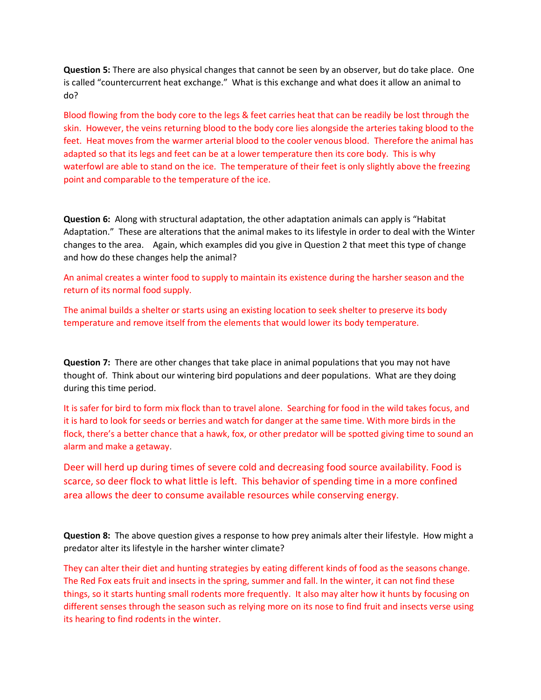**Question 5:** There are also physical changes that cannot be seen by an observer, but do take place. One is called "countercurrent heat exchange." What is this exchange and what does it allow an animal to do?

Blood flowing from the body core to the legs & feet carries heat that can be readily be lost through the skin. However, the veins returning blood to the body core lies alongside the arteries taking blood to the feet. Heat moves from the warmer arterial blood to the cooler venous blood. Therefore the animal has adapted so that its legs and feet can be at a lower temperature then its core body. This is why waterfowl are able to stand on the ice. The temperature of their feet is only slightly above the freezing point and comparable to the temperature of the ice.

**Question 6:** Along with structural adaptation, the other adaptation animals can apply is "Habitat Adaptation." These are alterations that the animal makes to its lifestyle in order to deal with the Winter changes to the area. Again, which examples did you give in Question 2 that meet this type of change and how do these changes help the animal?

An animal creates a winter food to supply to maintain its existence during the harsher season and the return of its normal food supply.

The animal builds a shelter or starts using an existing location to seek shelter to preserve its body temperature and remove itself from the elements that would lower its body temperature.

**Question 7:** There are other changes that take place in animal populations that you may not have thought of. Think about our wintering bird populations and deer populations. What are they doing during this time period.

It is safer for bird to form mix flock than to travel alone. Searching for food in the wild takes focus, and it is hard to look for seeds or berries and watch for danger at the same time. With more birds in the flock, there's a better chance that a hawk, fox, or other predator will be spotted giving time to sound an alarm and make a getaway.

Deer will herd up during times of severe cold and decreasing food source availability. Food is scarce, so deer flock to what little is left. This behavior of spending time in a more confined area allows the deer to consume available resources while conserving energy.

**Question 8:** The above question gives a response to how prey animals alter their lifestyle. How might a predator alter its lifestyle in the harsher winter climate?

They can alter their diet and hunting strategies by eating different kinds of food as the seasons change. The Red Fox eats fruit and insects in the spring, summer and fall. In the winter, it can not find these things, so it starts hunting small rodents more frequently. It also may alter how it hunts by focusing on different senses through the season such as relying more on its nose to find fruit and insects verse using its hearing to find rodents in the winter.